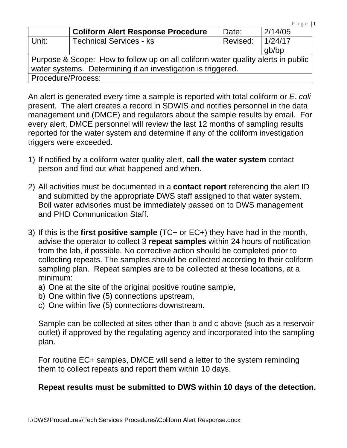|                                                                                  | <b>Coliform Alert Response Procedure</b> | Date:    | 2/14/05 |  |  |
|----------------------------------------------------------------------------------|------------------------------------------|----------|---------|--|--|
| ∣ Unit:                                                                          | <b>Technical Services - ks</b>           | Revised: | 1/24/17 |  |  |
|                                                                                  |                                          |          | qb/bp   |  |  |
| Purpose & Scope: How to follow up on all coliform water quality alerts in public |                                          |          |         |  |  |
| water systems. Determining if an investigation is triggered.                     |                                          |          |         |  |  |
| Procedure/Process:                                                               |                                          |          |         |  |  |

P a g e | **1**

An alert is generated every time a sample is reported with total coliform or E. coli present. The alert creates a record in SDWIS and notifies personnel in the data management unit (DMCE) and regulators about the sample results by email. For every alert, DMCE personnel will review the last 12 months of sampling results reported for the water system and determine if any of the coliform investigation triggers were exceeded.

- 1) If notified by a coliform water quality alert, **call the water system** contact person and find out what happened and when.
- 2) All activities must be documented in a **contact report** referencing the alert ID and submitted by the appropriate DWS staff assigned to that water system. Boil water advisories must be immediately passed on to DWS management and PHD Communication Staff.
- 3) If this is the **first positive sample** (TC+ or EC+) they have had in the month, advise the operator to collect 3 **repeat samples** within 24 hours of notification from the lab, if possible. No corrective action should be completed prior to collecting repeats. The samples should be collected according to their coliform sampling plan. Repeat samples are to be collected at these locations, at a minimum:
	- a) One at the site of the original positive routine sample,
	- b) One within five (5) connections upstream,
	- c) One within five (5) connections downstream.

Sample can be collected at sites other than b and c above (such as a reservoir outlet) if approved by the regulating agency and incorporated into the sampling plan.

For routine EC+ samples, DMCE will send a letter to the system reminding them to collect repeats and report them within 10 days.

## **Repeat results must be submitted to DWS within 10 days of the detection.**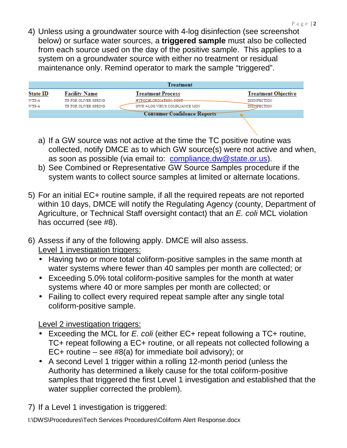4) Unless using a groundwater source with 4-log disinfection (see screenshot below) or surface water sources, a **triggered sample** must also be collected from each source used on the day of the positive sample. This applies to a system on a groundwater source with either no treatment or residual maintenance only. Remind operator to mark the sample "triggered".

|                                    | <b>Treatment</b>     |                                |                            |  |  |
|------------------------------------|----------------------|--------------------------------|----------------------------|--|--|
| <b>State ID</b>                    | <b>Facility Name</b> | <b>Treatment Process</b>       | <b>Treatment Objective</b> |  |  |
| WTP-A                              | TP FOR OLIVER SPRING | HYPOCHLORINATION, POST-        | <b>DISINFECTION</b>        |  |  |
| WTP-A                              | TP FOR OLIVER SPRING | GWR 4-LOG VIRUS COMPLIANCE MON | <b>DISINFECTION</b>        |  |  |
| <b>Consumer Confidence Reports</b> |                      |                                |                            |  |  |

- a) If a GW source was not active at the time the TC positive routine was collected, notify DMCE as to which GW source(s) were not active and when, as soon as possible (via email to: compliance.dw@state.or.us).
- b) See Combined or Representative GW Source Samples procedure if the system wants to collect source samples at limited or alternate locations.
- 5) For an initial EC+ routine sample, if all the required repeats are not reported within 10 days, DMCE will notify the Regulating Agency (county, Department of Agriculture, or Technical Staff oversight contact) that an E. coli MCL violation has occurred (see #8).
- 6) Assess if any of the following apply. DMCE will also assess. Level 1 investigation triggers:
	- Having two or more total coliform-positive samples in the same month at water systems where fewer than 40 samples per month are collected; or
	- Exceeding 5.0% total coliform-positive samples for the month at water systems where 40 or more samples per month are collected; or
	- Failing to collect every required repeat sample after any single total coliform-positive sample.

Level 2 investigation triggers:

- Exceeding the MCL for E. coli (either EC+ repeat following a TC+ routine, TC+ repeat following a EC+ routine, or all repeats not collected following a EC+ routine – see #8(a) for immediate boil advisory); or
- A second Level 1 trigger within a rolling 12-month period (unless the Authority has determined a likely cause for the total coliform-positive samples that triggered the first Level 1 investigation and established that the water supplier corrected the problem).

7) If a Level 1 investigation is triggered:

I:\DWS\Procedures\Tech Services Procedures\Coliform Alert Response.docx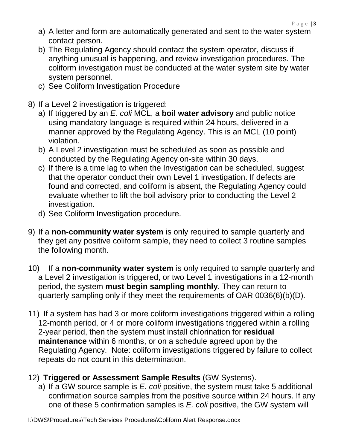- a) A letter and form are automatically generated and sent to the water system contact person.
- b) The Regulating Agency should contact the system operator, discuss if anything unusual is happening, and review investigation procedures. The coliform investigation must be conducted at the water system site by water system personnel.
- c) See Coliform Investigation Procedure
- 8) If a Level 2 investigation is triggered:
	- a) If triggered by an E. coli MCL, a **boil water advisory** and public notice using mandatory language is required within 24 hours, delivered in a manner approved by the Regulating Agency. This is an MCL (10 point) violation.
	- b) A Level 2 investigation must be scheduled as soon as possible and conducted by the Regulating Agency on-site within 30 days.
	- c) If there is a time lag to when the Investigation can be scheduled, suggest that the operator conduct their own Level 1 investigation. If defects are found and corrected, and coliform is absent, the Regulating Agency could evaluate whether to lift the boil advisory prior to conducting the Level 2 investigation.
	- d) See Coliform Investigation procedure.
- 9) If a **non-community water system** is only required to sample quarterly and they get any positive coliform sample, they need to collect 3 routine samples the following month.
- 10) If a **non-community water system** is only required to sample quarterly and a Level 2 investigation is triggered, or two Level 1 investigations in a 12-month period, the system **must begin sampling monthly**. They can return to quarterly sampling only if they meet the requirements of OAR 0036(6)(b)(D).
- 11) If a system has had 3 or more coliform investigations triggered within a rolling 12-month period, or 4 or more coliform investigations triggered within a rolling 2-year period, then the system must install chlorination for **residual maintenance** within 6 months, or on a schedule agreed upon by the Regulating Agency. Note: coliform investigations triggered by failure to collect repeats do not count in this determination.
- 12) **Triggered or Assessment Sample Results** (GW Systems).
	- a) If a GW source sample is  $E$ . coli positive, the system must take 5 additional confirmation source samples from the positive source within 24 hours. If any one of these 5 confirmation samples is E. coli positive, the GW system will

I:\DWS\Procedures\Tech Services Procedures\Coliform Alert Response.docx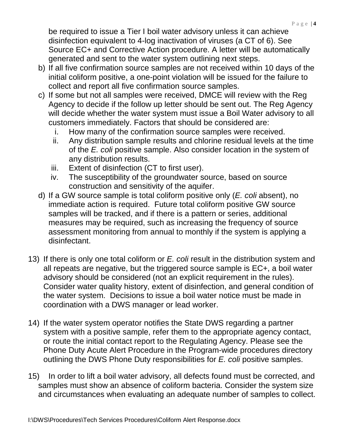be required to issue a Tier I boil water advisory unless it can achieve disinfection equivalent to 4-log inactivation of viruses (a CT of 6). See Source EC+ and Corrective Action procedure. A letter will be automatically generated and sent to the water system outlining next steps.

- b) If all five confirmation source samples are not received within 10 days of the initial coliform positive, a one-point violation will be issued for the failure to collect and report all five confirmation source samples.
- c) If some but not all samples were received, DMCE will review with the Reg Agency to decide if the follow up letter should be sent out. The Reg Agency will decide whether the water system must issue a Boil Water advisory to all customers immediately. Factors that should be considered are:
	- i. How many of the confirmation source samples were received.
	- ii. Any distribution sample results and chlorine residual levels at the time of the E. coli positive sample. Also consider location in the system of any distribution results.
	- iii. Extent of disinfection (CT to first user).
	- iv. The susceptibility of the groundwater source, based on source construction and sensitivity of the aquifer.
- d) If a GW source sample is total coliform positive only  $(E. \text{ coli } absent)$ , no immediate action is required. Future total coliform positive GW source samples will be tracked, and if there is a pattern or series, additional measures may be required, such as increasing the frequency of source assessment monitoring from annual to monthly if the system is applying a disinfectant.
- 13) If there is only one total coliform or E. coli result in the distribution system and all repeats are negative, but the triggered source sample is EC+, a boil water advisory should be considered (not an explicit requirement in the rules). Consider water quality history, extent of disinfection, and general condition of the water system. Decisions to issue a boil water notice must be made in coordination with a DWS manager or lead worker.
- 14) If the water system operator notifies the State DWS regarding a partner system with a positive sample, refer them to the appropriate agency contact, or route the initial contact report to the Regulating Agency. Please see the Phone Duty Acute Alert Procedure in the Program-wide procedures directory outlining the DWS Phone Duty responsibilities for E. coli positive samples.
- 15) In order to lift a boil water advisory, all defects found must be corrected, and samples must show an absence of coliform bacteria. Consider the system size and circumstances when evaluating an adequate number of samples to collect.